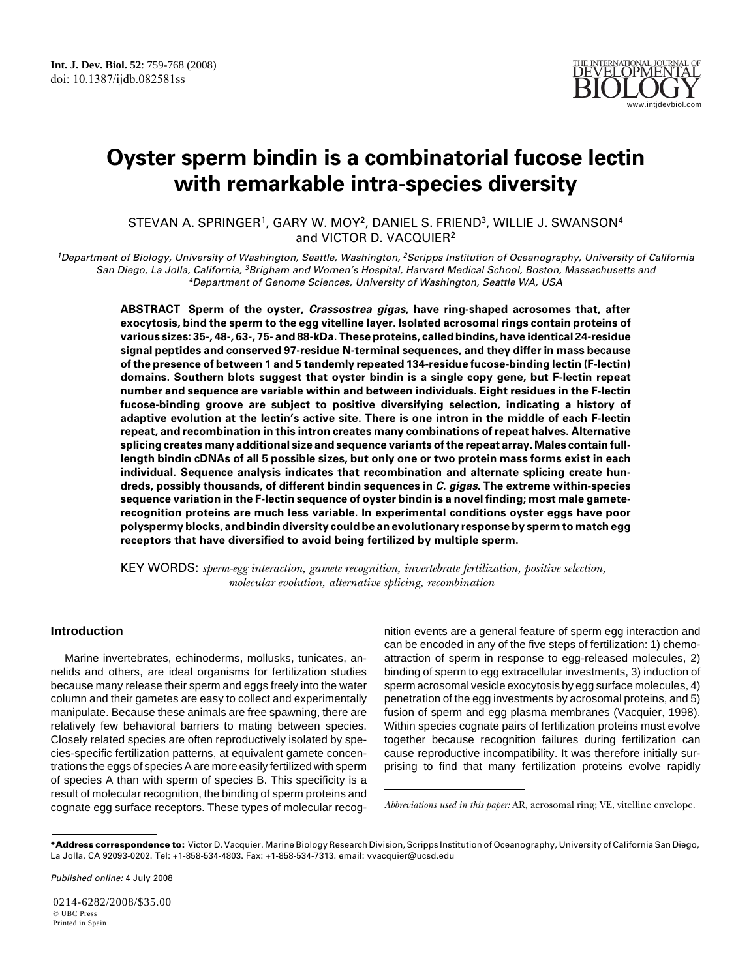

# **Oyster sperm bindin is a combinatorial fucose lectin with remarkable intra-species diversity**

STEVAN A. SPRINGER1, GARY W. MOY2, DANIEL S. FRIEND3, WILLIE J. SWANSON4 and VICTOR D. VACQUIER2

<sup>1</sup>Department of Biology, University of Washington, Seattle, Washington, <sup>2</sup>Scripps Institution of Oceanography, University of California San Diego, La Jolla, California, <sup>3</sup>Brigham and Women's Hospital, Harvard Medical School, Boston, Massachusetts and <sup>4</sup>Department of Genome Sciences, University of Washington, Seattle WA, USA

**ABSTRACT Sperm of the oyster, Crassostrea gigas, have ring-shaped acrosomes that, after exocytosis, bind the sperm to the egg vitelline layer. Isolated acrosomal rings contain proteins of various sizes: 35-, 48-, 63-, 75- and 88-kDa. These proteins, called bindins, have identical 24-residue signal peptides and conserved 97-residue N-terminal sequences, and they differ in mass because of the presence of between 1 and 5 tandemly repeated 134-residue fucose-binding lectin (F-lectin) domains. Southern blots suggest that oyster bindin is a single copy gene, but F-lectin repeat number and sequence are variable within and between individuals. Eight residues in the F-lectin fucose-binding groove are subject to positive diversifying selection, indicating a history of adaptive evolution at the lectin's active site. There is one intron in the middle of each F-lectin repeat, and recombination in this intron creates many combinations of repeat halves. Alternative splicing creates many additional size and sequence variants of the repeat array. Males contain fulllength bindin cDNAs of all 5 possible sizes, but only one or two protein mass forms exist in each individual. Sequence analysis indicates that recombination and alternate splicing create hundreds, possibly thousands, of different bindin sequences in C. gigas. The extreme within-species sequence variation in the F-lectin sequence of oyster bindin is a novel finding; most male gameterecognition proteins are much less variable. In experimental conditions oyster eggs have poor polyspermy blocks, and bindin diversity could be an evolutionary response by sperm to match egg receptors that have diversified to avoid being fertilized by multiple sperm.**

KEY WORDS: *sperm-egg interaction, gamete recognition, invertebrate fertilization, positive selection, molecular evolution, alternative splicing, recombination*

# **Introduction**

Marine invertebrates, echinoderms, mollusks, tunicates, annelids and others, are ideal organisms for fertilization studies because many release their sperm and eggs freely into the water column and their gametes are easy to collect and experimentally manipulate. Because these animals are free spawning, there are relatively few behavioral barriers to mating between species. Closely related species are often reproductively isolated by species-specific fertilization patterns, at equivalent gamete concentrations the eggs of species A are more easily fertilized with sperm of species A than with sperm of species B. This specificity is a result of molecular recognition, the binding of sperm proteins and cognate egg surface receptors. These types of molecular recognition events are a general feature of sperm egg interaction and can be encoded in any of the five steps of fertilization: 1) chemoattraction of sperm in response to egg-released molecules, 2) binding of sperm to egg extracellular investments, 3) induction of sperm acrosomal vesicle exocytosis by egg surface molecules, 4) penetration of the egg investments by acrosomal proteins, and 5) fusion of sperm and egg plasma membranes (Vacquier, 1998). Within species cognate pairs of fertilization proteins must evolve together because recognition failures during fertilization can cause reproductive incompatibility. It was therefore initially surprising to find that many fertilization proteins evolve rapidly

Published online: 4 July 2008

0214-6282/2008/\$35.00 © UBC Press Printed in Spain

*Abbreviations used in this paper:* AR, acrosomal ring; VE, vitelline envelope.

**<sup>\*</sup>Address correspondence to:** Victor D. Vacquier. Marine Biology Research Division, Scripps Institution of Oceanography, University of California San Diego, La Jolla, CA 92093-0202. Tel: +1-858-534-4803. Fax: +1-858-534-7313. email: vvacquier@ucsd.edu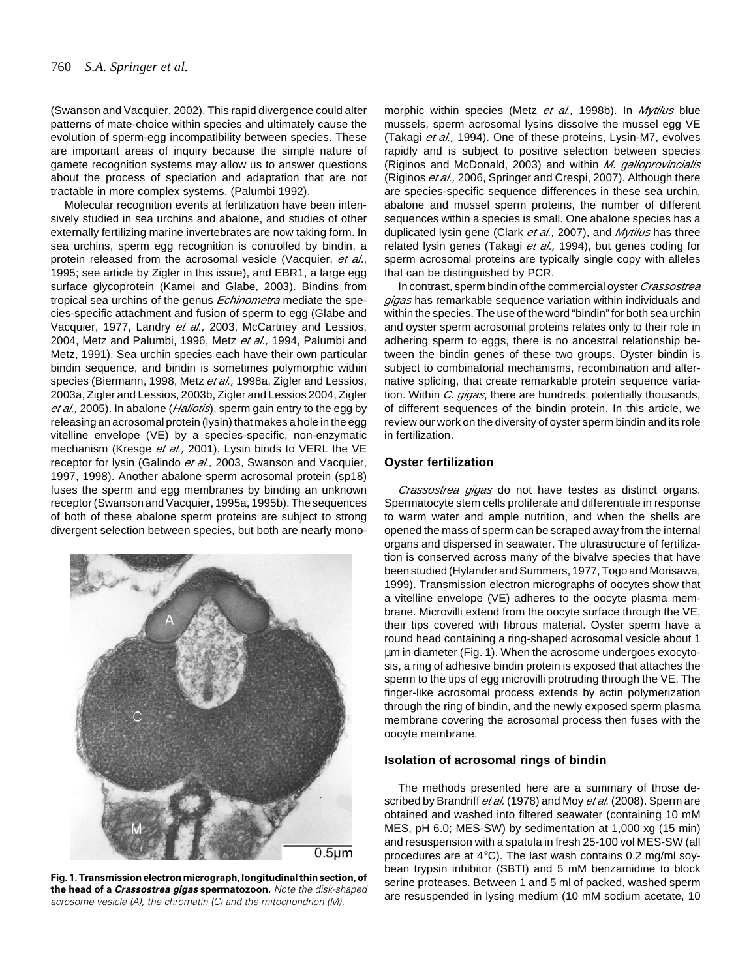(Swanson and Vacquier, 2002). This rapid divergence could alter patterns of mate-choice within species and ultimately cause the evolution of sperm-egg incompatibility between species. These are important areas of inquiry because the simple nature of gamete recognition systems may allow us to answer questions about the process of speciation and adaptation that are not tractable in more complex systems. (Palumbi 1992).

Molecular recognition events at fertilization have been intensively studied in sea urchins and abalone, and studies of other externally fertilizing marine invertebrates are now taking form. In sea urchins, sperm egg recognition is controlled by bindin, a protein released from the acrosomal vesicle (Vacquier, et al., 1995; see article by Zigler in this issue), and EBR1, a large egg surface glycoprotein (Kamei and Glabe, 2003). Bindins from tropical sea urchins of the genus *Echinometra* mediate the species-specific attachment and fusion of sperm to egg (Glabe and Vacquier, 1977, Landry et al., 2003, McCartney and Lessios, 2004, Metz and Palumbi, 1996, Metz et al., 1994, Palumbi and Metz, 1991). Sea urchin species each have their own particular bindin sequence, and bindin is sometimes polymorphic within species (Biermann, 1998, Metz et al., 1998a, Zigler and Lessios, 2003a, Zigler and Lessios, 2003b, Zigler and Lessios 2004, Zigler et al., 2005). In abalone (*Haliotis*), sperm gain entry to the egg by releasing an acrosomal protein (lysin) that makes a hole in the egg vitelline envelope (VE) by a species-specific, non-enzymatic mechanism (Kresge et al., 2001). Lysin binds to VERL the VE receptor for lysin (Galindo et al., 2003, Swanson and Vacquier, 1997, 1998). Another abalone sperm acrosomal protein (sp18) fuses the sperm and egg membranes by binding an unknown receptor (Swanson and Vacquier, 1995a, 1995b). The sequences of both of these abalone sperm proteins are subject to strong divergent selection between species, but both are nearly mono-



**Fig. 1. Transmission electron micrograph, longitudinal thin section, of the head of a Crassostrea gigas spermatozoon.** Note the disk-shaped acrosome vesicle (A), the chromatin (C) and the mitochondrion (M).

morphic within species (Metz et al., 1998b). In Mytilus blue mussels, sperm acrosomal lysins dissolve the mussel egg VE (Takagi et al., 1994). One of these proteins, Lysin-M7, evolves rapidly and is subject to positive selection between species (Riginos and McDonald, 2003) and within M. galloprovincialis (Riginos et al., 2006, Springer and Crespi, 2007). Although there are species-specific sequence differences in these sea urchin, abalone and mussel sperm proteins, the number of different sequences within a species is small. One abalone species has a duplicated lysin gene (Clark et al., 2007), and Mytilus has three related lysin genes (Takagi et al., 1994), but genes coding for sperm acrosomal proteins are typically single copy with alleles that can be distinguished by PCR.

In contrast, sperm bindin of the commercial oyster *Crassostrea* gigas has remarkable sequence variation within individuals and within the species. The use of the word "bindin" for both sea urchin and oyster sperm acrosomal proteins relates only to their role in adhering sperm to eggs, there is no ancestral relationship between the bindin genes of these two groups. Oyster bindin is subject to combinatorial mechanisms, recombination and alternative splicing, that create remarkable protein sequence variation. Within C. gigas, there are hundreds, potentially thousands, of different sequences of the bindin protein. In this article, we review our work on the diversity of oyster sperm bindin and its role in fertilization.

# **Oyster fertilization**

Crassostrea gigas do not have testes as distinct organs. Spermatocyte stem cells proliferate and differentiate in response to warm water and ample nutrition, and when the shells are opened the mass of sperm can be scraped away from the internal organs and dispersed in seawater. The ultrastructure of fertilization is conserved across many of the bivalve species that have been studied (Hylander and Summers, 1977, Togo and Morisawa, 1999). Transmission electron micrographs of oocytes show that a vitelline envelope (VE) adheres to the oocyte plasma membrane. Microvilli extend from the oocyte surface through the VE, their tips covered with fibrous material. Oyster sperm have a round head containing a ring-shaped acrosomal vesicle about 1 µm in diameter (Fig. 1). When the acrosome undergoes exocytosis, a ring of adhesive bindin protein is exposed that attaches the sperm to the tips of egg microvilli protruding through the VE. The finger-like acrosomal process extends by actin polymerization through the ring of bindin, and the newly exposed sperm plasma membrane covering the acrosomal process then fuses with the oocyte membrane.

## **Isolation of acrosomal rings of bindin**

The methods presented here are a summary of those described by Brandriff et al. (1978) and Moy et al. (2008). Sperm are obtained and washed into filtered seawater (containing 10 mM MES, pH 6.0; MES-SW) by sedimentation at 1,000 xg (15 min) and resuspension with a spatula in fresh 25-100 vol MES-SW (all procedures are at 4°C). The last wash contains 0.2 mg/ml soybean trypsin inhibitor (SBTI) and 5 mM benzamidine to block serine proteases. Between 1 and 5 ml of packed, washed sperm are resuspended in lysing medium (10 mM sodium acetate, 10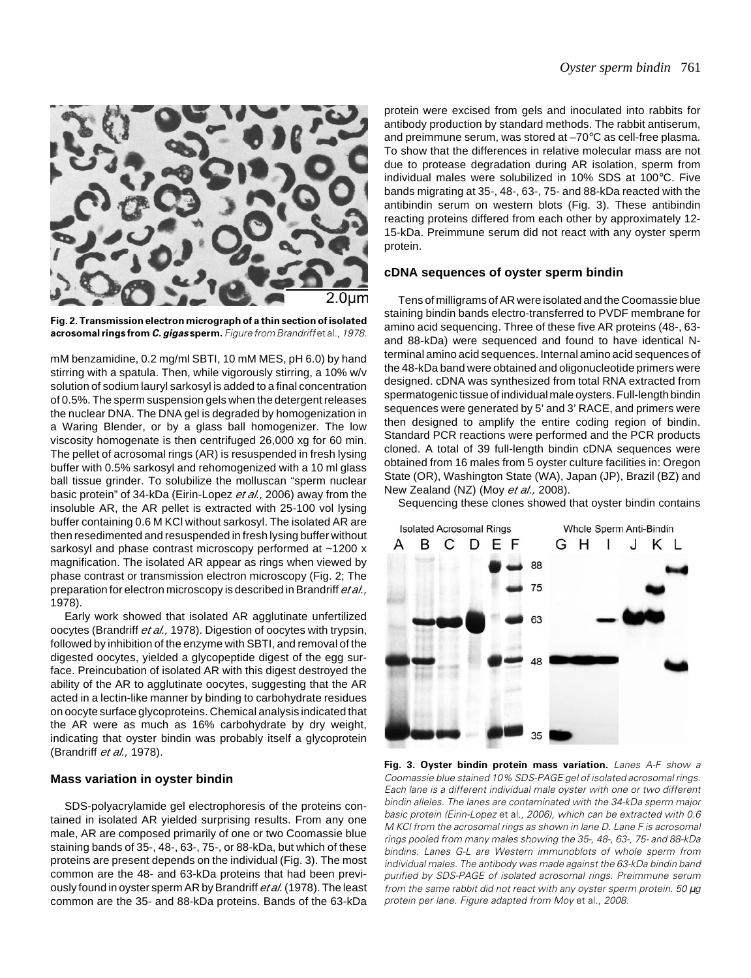



mM benzamidine, 0.2 mg/ml SBTI, 10 mM MES, pH 6.0) by hand stirring with a spatula. Then, while vigorously stirring, a 10% w/v solution of sodium lauryl sarkosyl is added to a final concentration of 0.5%. The sperm suspension gels when the detergent releases the nuclear DNA. The DNA gel is degraded by homogenization in a Waring Blender, or by a glass ball homogenizer. The low viscosity homogenate is then centrifuged 26,000 xg for 60 min. The pellet of acrosomal rings (AR) is resuspended in fresh lysing buffer with 0.5% sarkosyl and rehomogenized with a 10 ml glass ball tissue grinder. To solubilize the molluscan "sperm nuclear basic protein" of 34-kDa (Eirin-Lopez et al., 2006) away from the insoluble AR, the AR pellet is extracted with 25-100 vol lysing buffer containing 0.6 M KCl without sarkosyl. The isolated AR are then resedimented and resuspended in fresh lysing buffer without sarkosyl and phase contrast microscopy performed at ~1200 x magnification. The isolated AR appear as rings when viewed by phase contrast or transmission electron microscopy (Fig. 2; The preparation for electron microscopy is described in Brandriff et al., 1978).

Early work showed that isolated AR agglutinate unfertilized oocytes (Brandriff et al., 1978). Digestion of oocytes with trypsin, followed by inhibition of the enzyme with SBTI, and removal of the digested oocytes, yielded a glycopeptide digest of the egg surface. Preincubation of isolated AR with this digest destroyed the ability of the AR to agglutinate oocytes, suggesting that the AR acted in a lectin-like manner by binding to carbohydrate residues on oocyte surface glycoproteins. Chemical analysis indicated that the AR were as much as 16% carbohydrate by dry weight, indicating that oyster bindin was probably itself a glycoprotein (Brandriff et al., 1978).

## **Mass variation in oyster bindin**

SDS-polyacrylamide gel electrophoresis of the proteins contained in isolated AR yielded surprising results. From any one male, AR are composed primarily of one or two Coomassie blue staining bands of 35-, 48-, 63-, 75-, or 88-kDa, but which of these proteins are present depends on the individual (Fig. 3). The most common are the 48- and 63-kDa proteins that had been previously found in oyster sperm AR by Brandriff et al. (1978). The least common are the 35- and 88-kDa proteins. Bands of the 63-kDa protein were excised from gels and inoculated into rabbits for antibody production by standard methods. The rabbit antiserum, and preimmune serum, was stored at –70°C as cell-free plasma. To show that the differences in relative molecular mass are not due to protease degradation during AR isolation, sperm from individual males were solubilized in 10% SDS at 100°C. Five bands migrating at 35-, 48-, 63-, 75- and 88-kDa reacted with the antibindin serum on western blots (Fig. 3). These antibindin reacting proteins differed from each other by approximately 12- 15-kDa. Preimmune serum did not react with any oyster sperm protein.

## **cDNA sequences of oyster sperm bindin**

Tens of milligrams of AR were isolated and the Coomassie blue staining bindin bands electro-transferred to PVDF membrane for amino acid sequencing. Three of these five AR proteins (48-, 63 and 88-kDa) were sequenced and found to have identical Nterminal amino acid sequences. Internal amino acid sequences of the 48-kDa band were obtained and oligonucleotide primers were designed. cDNA was synthesized from total RNA extracted from spermatogenic tissue of individual male oysters. Full-length bindin sequences were generated by 5' and 3' RACE, and primers were then designed to amplify the entire coding region of bindin. Standard PCR reactions were performed and the PCR products cloned. A total of 39 full-length bindin cDNA sequences were obtained from 16 males from 5 oyster culture facilities in: Oregon State (OR), Washington State (WA), Japan (JP), Brazil (BZ) and New Zealand (NZ) (Moy et al., 2008).

Sequencing these clones showed that oyster bindin contains



**Fig. 3. Oyster bindin protein mass variation.** Lanes A-F show a Coomassie blue stained 10% SDS-PAGE gel of isolated acrosomal rings. Each lane is a different individual male oyster with one or two different bindin alleles. The lanes are contaminated with the 34-kDa sperm major basic protein (Eirin-Lopez et al., 2006), which can be extracted with 0.6 M KCl from the acrosomal rings as shown in lane D. Lane F is acrosomal rings pooled from many males showing the 35-, 48-, 63-, 75- and 88-kDa bindins. Lanes G-L are Western immunoblots of whole sperm from individual males. The antibody was made against the 63-kDa bindin band purified by SDS-PAGE of isolated acrosomal rings. Preimmune serum from the same rabbit did not react with any oyster sperm protein. 50 µg protein per lane. Figure adapted from Moy et al., 2008.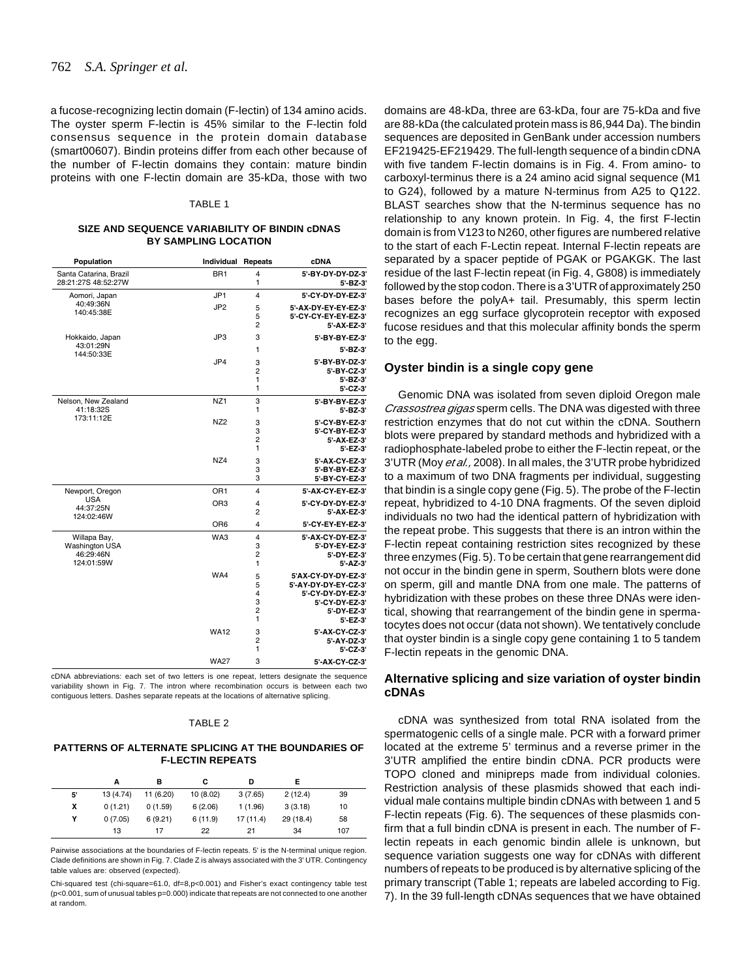a fucose-recognizing lectin domain (F-lectin) of 134 amino acids. The oyster sperm F-lectin is 45% similar to the F-lectin fold consensus sequence in the protein domain database (smart00607). Bindin proteins differ from each other because of the number of F-lectin domains they contain: mature bindin proteins with one F-lectin domain are 35-kDa, those with two

#### TABLE 1

#### **SIZE AND SEQUENCE VARIABILITY OF BINDIN cDNAS BY SAMPLING LOCATION**

| Population                                                       | <b>Individual Repeats</b> |                                                     | <b>cDNA</b>                                                                                                   |
|------------------------------------------------------------------|---------------------------|-----------------------------------------------------|---------------------------------------------------------------------------------------------------------------|
| Santa Catarina, Brazil<br>28:21:27S 48:52:27W                    | BR <sub>1</sub>           | 4<br>1                                              | 5'-BY-DY-DY-DZ-3'<br>$5' - BZ - 3'$                                                                           |
| Aomori, Japan                                                    | JP <sub>1</sub>           | $\overline{\mathbf{4}}$                             | 5'-CY-DY-DY-EZ-3'                                                                                             |
| 40:49:36N<br>140:45:38E                                          | JP <sub>2</sub>           | 5<br>5<br>$\overline{2}$                            | 5'-AX-DY-EY-EY-EZ-3'<br>5'-CY-CY-EY-EY-EZ-3'<br>5'-AX-EZ-3'                                                   |
| Hokkaido, Japan                                                  | JP3                       | 3                                                   | 5'-BY-BY-EZ-3'                                                                                                |
| 43:01:29N<br>144:50:33E                                          |                           | 1                                                   | $5' - BZ - 3'$                                                                                                |
|                                                                  | JP4                       | 3<br>$\overline{2}$<br>1<br>1                       | 5'-BY-BY-DZ-3'<br>5'-BY-CZ-3'<br>$5' - BZ - 3'$<br>5'-CZ-3'                                                   |
| Nelson, New Zealand<br>41:18:32S                                 | NZ <sub>1</sub>           | 3<br>1                                              | 5'-BY-BY-EZ-3'<br>5'-BZ-3'                                                                                    |
| 173:11:12E                                                       | NZ <sub>2</sub>           | 3<br>3<br>$\overline{2}$<br>1                       | 5'-CY-BY-EZ-3'<br>5'-CY-BY-EZ-3'<br>5'-AX-EZ-3'<br>$5'-EZ-3'$                                                 |
|                                                                  | NZ4                       | 3<br>3<br>3                                         | 5'-AX-CY-EZ-3'<br>5'-BY-BY-EZ-3'<br>5'-BY-CY-EZ-3'                                                            |
| Newport, Oregon                                                  | OR <sub>1</sub>           | $\overline{\mathbf{4}}$                             | 5'-AX-CY-EY-EZ-3'                                                                                             |
| <b>USA</b><br>44:37:25N<br>124:02:46W                            | OR <sub>3</sub>           | $\overline{\mathbf{4}}$<br>$\overline{2}$           | 5'-CY-DY-DY-EZ-3'<br>5'-AX-EZ-3'                                                                              |
|                                                                  | O <sub>R6</sub>           | $\overline{\mathbf{4}}$                             | 5'-CY-EY-EY-EZ-3'                                                                                             |
| Willapa Bay,<br><b>Washington USA</b><br>46:29:46N<br>124:01:59W | WA3                       | $\overline{\mathbf{4}}$<br>3<br>$\overline{2}$<br>1 | 5'-AX-CY-DY-EZ-3'<br>5'-DY-EY-EZ-3'<br>5'-DY-EZ-3'<br>5'-AZ-3'                                                |
|                                                                  | WA4                       | 5<br>5<br>4<br>3<br>$\overline{2}$<br>1             | 5'AX-CY-DY-DY-EZ-3'<br>5'-AY-DY-DY-EY-CZ-3'<br>5'-CY-DY-DY-EZ-3'<br>5'-CY-DY-EZ-3'<br>5'-DY-EZ-3'<br>5'-EZ-3' |
|                                                                  | <b>WA12</b>               | 3<br>$\overline{2}$<br>1                            | 5'-AX-CY-CZ-3'<br>5'-AY-DZ-3'<br>5'-CZ-3'                                                                     |
|                                                                  | <b>WA27</b>               | 3                                                   | 5'-AX-CY-CZ-3'                                                                                                |

 cDNA abbreviations: each set of two letters is one repeat, letters designate the sequence variability shown in Fig. 7. The intron where recombination occurs is between each two contiguous letters. Dashes separate repeats at the locations of alternative splicing.

#### TABLE 2

#### **PATTERNS OF ALTERNATE SPLICING AT THE BOUNDARIES OF F-LECTIN REPEATS**

|    | А         | в         | с        | D         |           |     |
|----|-----------|-----------|----------|-----------|-----------|-----|
| 5' | 13 (4.74) | 11 (6.20) | 10(8.02) | 3(7.65)   | 2(12.4)   | 39  |
| x  | 0(1.21)   | 0(1.59)   | 6(2.06)  | 1(1.96)   | 3(3.18)   | 10  |
| Υ  | 0(7.05)   | 6(9.21)   | 6(11.9)  | 17 (11.4) | 29 (18.4) | 58  |
|    | 13        | 17        | 22       | 21        | 34        | 107 |

Pairwise associations at the boundaries of F-lectin repeats. 5' is the N-terminal unique region. Clade definitions are shown in Fig. 7. Clade Z is always associated with the 3' UTR. Contingency table values are: observed (expected).

Chi-squared test (chi-square=61.0, df=8,p<0.001) and Fisher's exact contingency table test (p<0.001, sum of unusual tables p=0.000) indicate that repeats are not connected to one another at random.

domains are 48-kDa, three are 63-kDa, four are 75-kDa and five are 88-kDa (the calculated protein mass is 86,944 Da). The bindin sequences are deposited in GenBank under accession numbers EF219425-EF219429. The full-length sequence of a bindin cDNA with five tandem F-lectin domains is in Fig. 4. From amino- to carboxyl-terminus there is a 24 amino acid signal sequence (M1 to G24), followed by a mature N-terminus from A25 to Q122. BLAST searches show that the N-terminus sequence has no relationship to any known protein. In Fig. 4, the first F-lectin domain is from V123 to N260, other figures are numbered relative to the start of each F-Lectin repeat. Internal F-lectin repeats are separated by a spacer peptide of PGAK or PGAKGK. The last residue of the last F-lectin repeat (in Fig. 4, G808) is immediately followed by the stop codon. There is a 3'UTR of approximately 250 bases before the polyA+ tail. Presumably, this sperm lectin recognizes an egg surface glycoprotein receptor with exposed fucose residues and that this molecular affinity bonds the sperm to the egg.

## **Oyster bindin is a single copy gene**

Genomic DNA was isolated from seven diploid Oregon male Crassostrea gigas sperm cells. The DNA was digested with three restriction enzymes that do not cut within the cDNA. Southern blots were prepared by standard methods and hybridized with a radiophosphate-labeled probe to either the F-lectin repeat, or the 3'UTR (Moy et al., 2008). In all males, the 3'UTR probe hybridized to a maximum of two DNA fragments per individual, suggesting that bindin is a single copy gene (Fig. 5). The probe of the F-lectin repeat, hybridized to 4-10 DNA fragments. Of the seven diploid individuals no two had the identical pattern of hybridization with the repeat probe. This suggests that there is an intron within the F-lectin repeat containing restriction sites recognized by these three enzymes (Fig. 5). To be certain that gene rearrangement did not occur in the bindin gene in sperm, Southern blots were done on sperm, gill and mantle DNA from one male. The patterns of hybridization with these probes on these three DNAs were identical, showing that rearrangement of the bindin gene in spermatocytes does not occur (data not shown). We tentatively conclude that oyster bindin is a single copy gene containing 1 to 5 tandem F-lectin repeats in the genomic DNA.

# **Alternative splicing and size variation of oyster bindin cDNAs**

cDNA was synthesized from total RNA isolated from the spermatogenic cells of a single male. PCR with a forward primer located at the extreme 5' terminus and a reverse primer in the 3'UTR amplified the entire bindin cDNA. PCR products were TOPO cloned and minipreps made from individual colonies. Restriction analysis of these plasmids showed that each individual male contains multiple bindin cDNAs with between 1 and 5 F-lectin repeats (Fig. 6). The sequences of these plasmids confirm that a full bindin cDNA is present in each. The number of Flectin repeats in each genomic bindin allele is unknown, but sequence variation suggests one way for cDNAs with different numbers of repeats to be produced is by alternative splicing of the primary transcript (Table 1; repeats are labeled according to Fig. 7). In the 39 full-length cDNAs sequences that we have obtained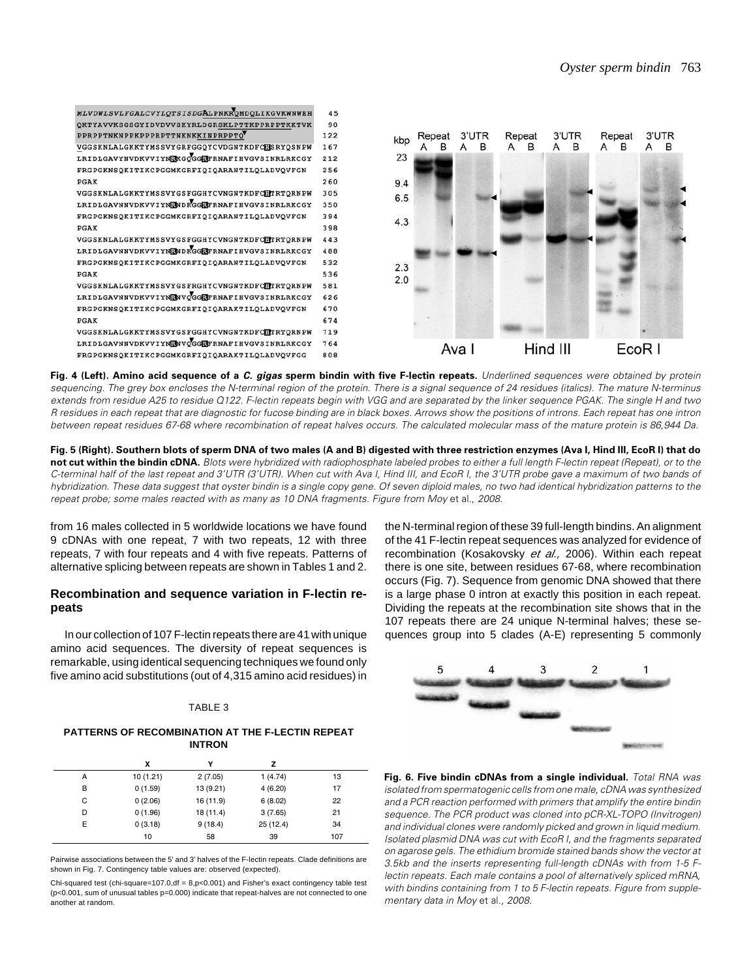

**Fig. 4 (Left). Amino acid sequence of a C. gigas sperm bindin with five F-lectin repeats.** Underlined sequences were obtained by protein sequencing. The grey box encloses the N-terminal region of the protein. There is a signal sequence of 24 residues (italics). The mature N-terminus extends from residue A25 to residue Q122. F-lectin repeats begin with VGG and are separated by the linker sequence PGAK. The single H and two R residues in each repeat that are diagnostic for fucose binding are in black boxes. Arrows show the positions of introns. Each repeat has one intron between repeat residues 67-68 where recombination of repeat halves occurs. The calculated molecular mass of the mature protein is 86,944 Da.

**Fig. 5 (Right). Southern blots of sperm DNA of two males (A and B) digested with three restriction enzymes (Ava I, Hind III, EcoR I) that do** not cut within the bindin cDNA. Blots were hybridized with radiophosphate labeled probes to either a full length F-lectin repeat (Repeat), or to the C-terminal half of the last repeat and 3'UTR (3'UTR). When cut with Ava I, Hind III, and EcoR I, the 3'UTR probe gave a maximum of two bands of hybridization. These data suggest that oyster bindin is a single copy gene. Of seven diploid males, no two had identical hybridization patterns to the repeat probe; some males reacted with as many as 10 DNA fragments. Figure from Moy et al., 2008.

from 16 males collected in 5 worldwide locations we have found 9 cDNAs with one repeat, 7 with two repeats, 12 with three repeats, 7 with four repeats and 4 with five repeats. Patterns of alternative splicing between repeats are shown in Tables 1 and 2.

# **Recombination and sequence variation in F-lectin repeats**

In our collection of 107 F-lectin repeats there are 41 with unique amino acid sequences. The diversity of repeat sequences is remarkable, using identical sequencing techniques we found only five amino acid substitutions (out of 4,315 amino acid residues) in

## TABLE 3

## **PATTERNS OF RECOMBINATION AT THE F-LECTIN REPEAT INTRON**

|   | x        | Y         | 7         |     |
|---|----------|-----------|-----------|-----|
| A | 10(1.21) | 2(7.05)   | 1(4.74)   | 13  |
| в | 0(1.59)  | 13 (9.21) | 4(6.20)   | 17  |
| С | 0(2.06)  | 16 (11.9) | 6(8.02)   | 22  |
| D | 0(1.96)  | 18 (11.4) | 3(7.65)   | 21  |
| E | 0(3.18)  | 9(18.4)   | 25 (12.4) | 34  |
|   | 10       | 58        | 39        | 107 |

Pairwise associations between the 5' and 3' halves of the F-lectin repeats. Clade definitions are shown in Fig. 7. Contingency table values are: observed (expected).

Chi-squared test (chi-square=107.0,df = 8,p<0.001) and Fisher's exact contingency table test (p<0.001, sum of unusual tables p=0.000) indicate that repeat-halves are not connected to one another at random.

the N-terminal region of these 39 full-length bindins. An alignment of the 41 F-lectin repeat sequences was analyzed for evidence of recombination (Kosakovsky et al., 2006). Within each repeat there is one site, between residues 67-68, where recombination occurs (Fig. 7). Sequence from genomic DNA showed that there is a large phase 0 intron at exactly this position in each repeat. Dividing the repeats at the recombination site shows that in the 107 repeats there are 24 unique N-terminal halves; these sequences group into 5 clades (A-E) representing 5 commonly



**Fig. 6. Five bindin cDNAs from a single individual.** Total RNA was isolated from spermatogenic cells from one male, cDNA was synthesized and a PCR reaction performed with primers that amplify the entire bindin sequence. The PCR product was cloned into pCR-XL-TOPO (Invitrogen) and individual clones were randomly picked and grown in liquid medium. Isolated plasmid DNA was cut with EcoR I, and the fragments separated on agarose gels. The ethidium bromide stained bands show the vector at 3.5kb and the inserts representing full-length cDNAs with from 1-5 Flectin repeats. Each male contains a pool of alternatively spliced mRNA, with bindins containing from 1 to 5 F-lectin repeats. Figure from supplementary data in Moy et al., 2008.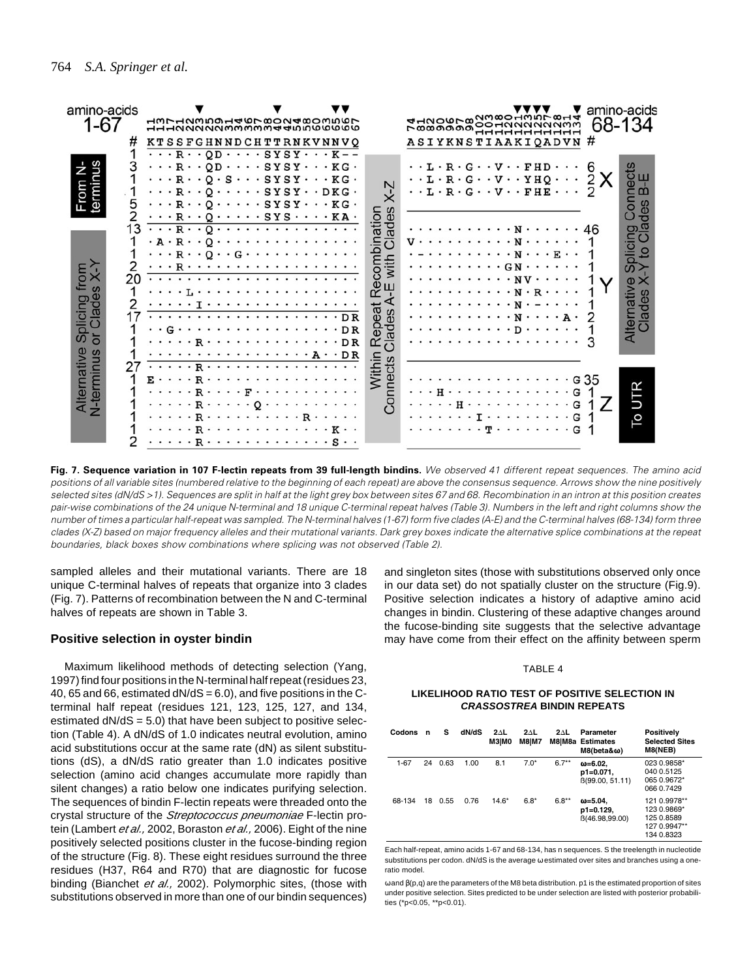

**Fig. 7. Sequence variation in 107 F-lectin repeats from 39 full-length bindins.** We observed 41 different repeat sequences. The amino acid positions of all variable sites (numbered relative to the beginning of each repeat) are above the consensus sequence. Arrows show the nine positively selected sites (dN/dS >1). Sequences are split in half at the light grey box between sites 67 and 68. Recombination in an intron at this position creates pair-wise combinations of the 24 unique N-terminal and 18 unique C-terminal repeat halves (Table 3). Numbers in the left and right columns show the number of times a particular half-repeat was sampled. The N-terminal halves (1-67) form five clades (A-E) and the C-terminal halves (68-134) form three clades (X-Z) based on major frequency alleles and their mutational variants. Dark grey boxes indicate the alternative splice combinations at the repeat boundaries, black boxes show combinations where splicing was not observed (Table 2).

sampled alleles and their mutational variants. There are 18 unique C-terminal halves of repeats that organize into 3 clades (Fig. 7). Patterns of recombination between the N and C-terminal halves of repeats are shown in Table 3.

# **Positive selection in oyster bindin**

Maximum likelihood methods of detecting selection (Yang, 1997) find four positions in the N-terminal half repeat (residues 23, 40, 65 and 66, estimated  $dN/dS = 6.0$ ), and five positions in the Cterminal half repeat (residues 121, 123, 125, 127, and 134, estimated  $dN/dS = 5.0$ ) that have been subject to positive selection (Table 4). A dN/dS of 1.0 indicates neutral evolution, amino acid substitutions occur at the same rate (dN) as silent substitutions (dS), a dN/dS ratio greater than 1.0 indicates positive selection (amino acid changes accumulate more rapidly than silent changes) a ratio below one indicates purifying selection. The sequences of bindin F-lectin repeats were threaded onto the crystal structure of the Streptococcus pneumoniae F-lectin protein (Lambert et al., 2002, Boraston et al., 2006). Eight of the nine positively selected positions cluster in the fucose-binding region of the structure (Fig. 8). These eight residues surround the three residues (H37, R64 and R70) that are diagnostic for fucose binding (Bianchet et al., 2002). Polymorphic sites, (those with substitutions observed in more than one of our bindin sequences) and singleton sites (those with substitutions observed only once in our data set) do not spatially cluster on the structure (Fig.9). Positive selection indicates a history of adaptive amino acid changes in bindin. Clustering of these adaptive changes around the fucose-binding site suggests that the selective advantage may have come from their effect on the affinity between sperm

#### TABLE 4

### **LIKELIHOOD RATIO TEST OF POSITIVE SELECTION IN CRASSOSTREA BINDIN REPEATS**

| Codons   | n  | s    | dN/dS | $2\Delta L$<br><b>МЗ МО</b> | $2\Delta L$<br>M8IM7 | $2\Delta L$ | Parameter<br>M8 M8a Estimates<br>$M8(beta&\omega)$ | Positively<br><b>Selected Sites</b><br>M8(NEB)                          |
|----------|----|------|-------|-----------------------------|----------------------|-------------|----------------------------------------------------|-------------------------------------------------------------------------|
| $1 - 67$ | 24 | 0.63 | 1.00  | 8.1                         | $7.0*$               | $6.7**$     | $\omega = 6.02$ .<br>p1=0.071.<br>B(99.00, 51.11)  | 023 0.9858*<br>040 0.5125<br>065 0.9672*<br>066 0.7429                  |
| 68-134   | 18 | 0.55 | 0.76  | $14.6*$                     | $6.8*$               | $6.8**$     | $\omega = 5.04$ .<br>$p1=0.129.$<br>B(46.98,99.00) | 121 0.9978**<br>123 0.9869*<br>125 0.8589<br>127 0.9947**<br>134 0.8323 |

Each half-repeat, amino acids 1-67 and 68-134, has n sequences. S the treelength in nucleotide substitutions per codon. dN/dS is the average ω estimated over sites and branches using a oneratio model.

ω and β(p,q) are the parameters of the M8 beta distribution. p1 is the estimated proportion of sites under positive selection. Sites predicted to be under selection are listed with posterior probabilities (\*p<0.05, \*\*p<0.01).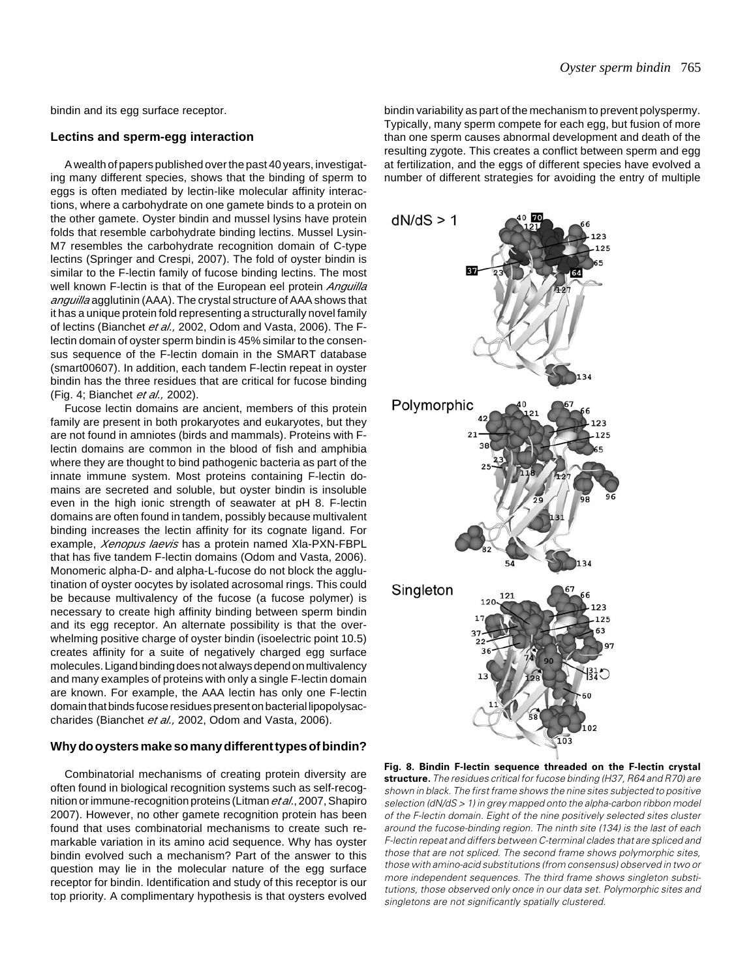bindin and its egg surface receptor.

# **Lectins and sperm-egg interaction**

A wealth of papers published over the past 40 years, investigating many different species, shows that the binding of sperm to eggs is often mediated by lectin-like molecular affinity interactions, where a carbohydrate on one gamete binds to a protein on the other gamete. Oyster bindin and mussel lysins have protein folds that resemble carbohydrate binding lectins. Mussel Lysin-M7 resembles the carbohydrate recognition domain of C-type lectins (Springer and Crespi, 2007). The fold of oyster bindin is similar to the F-lectin family of fucose binding lectins. The most well known F-lectin is that of the European eel protein *Anguilla* anguilla agglutinin (AAA). The crystal structure of AAA shows that it has a unique protein fold representing a structurally novel family of lectins (Bianchet et al., 2002, Odom and Vasta, 2006). The Flectin domain of oyster sperm bindin is 45% similar to the consensus sequence of the F-lectin domain in the SMART database (smart00607). In addition, each tandem F-lectin repeat in oyster bindin has the three residues that are critical for fucose binding (Fig. 4; Bianchet et al., 2002).

Fucose lectin domains are ancient, members of this protein family are present in both prokaryotes and eukaryotes, but they are not found in amniotes (birds and mammals). Proteins with Flectin domains are common in the blood of fish and amphibia where they are thought to bind pathogenic bacteria as part of the innate immune system. Most proteins containing F-lectin domains are secreted and soluble, but oyster bindin is insoluble even in the high ionic strength of seawater at pH 8. F-lectin domains are often found in tandem, possibly because multivalent binding increases the lectin affinity for its cognate ligand. For example, *Xenopus laevis* has a protein named XIa-PXN-FBPL that has five tandem F-lectin domains (Odom and Vasta, 2006). Monomeric alpha-D- and alpha-L-fucose do not block the agglutination of oyster oocytes by isolated acrosomal rings. This could be because multivalency of the fucose (a fucose polymer) is necessary to create high affinity binding between sperm bindin and its egg receptor. An alternate possibility is that the overwhelming positive charge of oyster bindin (isoelectric point 10.5) creates affinity for a suite of negatively charged egg surface molecules. Ligand binding does not always depend on multivalency and many examples of proteins with only a single F-lectin domain are known. For example, the AAA lectin has only one F-lectin domain that binds fucose residues present on bacterial lipopolysaccharides (Bianchet et al., 2002, Odom and Vasta, 2006).

## **Why do oysters make so many different types of bindin?**

Combinatorial mechanisms of creating protein diversity are often found in biological recognition systems such as self-recognition or immune-recognition proteins (Litman *et al.*, 2007, Shapiro 2007). However, no other gamete recognition protein has been found that uses combinatorial mechanisms to create such remarkable variation in its amino acid sequence. Why has oyster bindin evolved such a mechanism? Part of the answer to this question may lie in the molecular nature of the egg surface receptor for bindin. Identification and study of this receptor is our top priority. A complimentary hypothesis is that oysters evolved bindin variability as part of the mechanism to prevent polyspermy. Typically, many sperm compete for each egg, but fusion of more than one sperm causes abnormal development and death of the resulting zygote. This creates a conflict between sperm and egg at fertilization, and the eggs of different species have evolved a number of different strategies for avoiding the entry of multiple



**Fig. 8. Bindin F-lectin sequence threaded on the F-lectin crystal structure.** The residues critical for fucose binding (H37, R64 and R70) are shown in black. The first frame shows the nine sites subjected to positive selection (dN/dS > 1) in grey mapped onto the alpha-carbon ribbon model of the F-lectin domain. Eight of the nine positively selected sites cluster around the fucose-binding region. The ninth site (134) is the last of each F-lectin repeat and differs between C-terminal clades that are spliced and those that are not spliced. The second frame shows polymorphic sites, those with amino-acid substitutions (from consensus) observed in two or more independent sequences. The third frame shows singleton substitutions, those observed only once in our data set. Polymorphic sites and singletons are not significantly spatially clustered.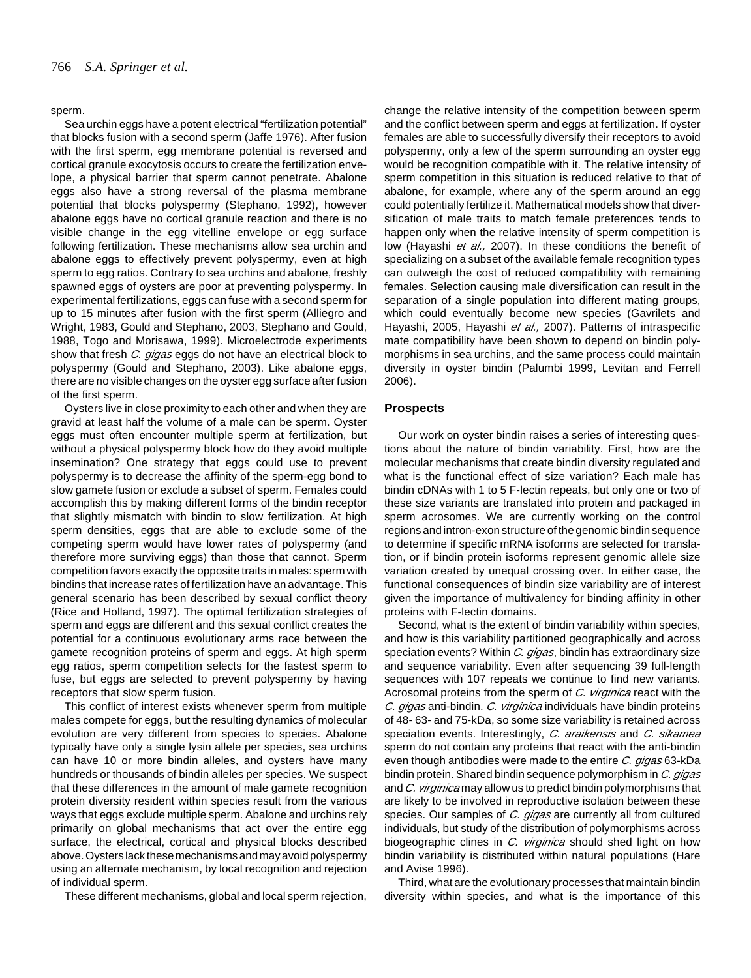#### sperm.

Sea urchin eggs have a potent electrical "fertilization potential" that blocks fusion with a second sperm (Jaffe 1976). After fusion with the first sperm, egg membrane potential is reversed and cortical granule exocytosis occurs to create the fertilization envelope, a physical barrier that sperm cannot penetrate. Abalone eggs also have a strong reversal of the plasma membrane potential that blocks polyspermy (Stephano, 1992), however abalone eggs have no cortical granule reaction and there is no visible change in the egg vitelline envelope or egg surface following fertilization. These mechanisms allow sea urchin and abalone eggs to effectively prevent polyspermy, even at high sperm to egg ratios. Contrary to sea urchins and abalone, freshly spawned eggs of ovsters are poor at preventing polyspermy. In experimental fertilizations, eggs can fuse with a second sperm for up to 15 minutes after fusion with the first sperm (Alliegro and Wright, 1983, Gould and Stephano, 2003, Stephano and Gould, 1988, Togo and Morisawa, 1999). Microelectrode experiments show that fresh C. gigas eggs do not have an electrical block to polyspermy (Gould and Stephano, 2003). Like abalone eggs, there are no visible changes on the oyster egg surface after fusion of the first sperm.

Oysters live in close proximity to each other and when they are gravid at least half the volume of a male can be sperm. Oyster eggs must often encounter multiple sperm at fertilization, but without a physical polyspermy block how do they avoid multiple insemination? One strategy that eggs could use to prevent polyspermy is to decrease the affinity of the sperm-egg bond to slow gamete fusion or exclude a subset of sperm. Females could accomplish this by making different forms of the bindin receptor that slightly mismatch with bindin to slow fertilization. At high sperm densities, eggs that are able to exclude some of the competing sperm would have lower rates of polyspermy (and therefore more surviving eggs) than those that cannot. Sperm competition favors exactly the opposite traits in males: sperm with bindins that increase rates of fertilization have an advantage. This general scenario has been described by sexual conflict theory (Rice and Holland, 1997). The optimal fertilization strategies of sperm and eggs are different and this sexual conflict creates the potential for a continuous evolutionary arms race between the gamete recognition proteins of sperm and eggs. At high sperm egg ratios, sperm competition selects for the fastest sperm to fuse, but eggs are selected to prevent polyspermy by having receptors that slow sperm fusion.

This conflict of interest exists whenever sperm from multiple males compete for eggs, but the resulting dynamics of molecular evolution are very different from species to species. Abalone typically have only a single lysin allele per species, sea urchins can have 10 or more bindin alleles, and oysters have many hundreds or thousands of bindin alleles per species. We suspect that these differences in the amount of male gamete recognition protein diversity resident within species result from the various ways that eggs exclude multiple sperm. Abalone and urchins rely primarily on global mechanisms that act over the entire egg surface, the electrical, cortical and physical blocks described above. Oysters lack these mechanisms and may avoid polyspermy using an alternate mechanism, by local recognition and rejection of individual sperm.

These different mechanisms, global and local sperm rejection,

change the relative intensity of the competition between sperm and the conflict between sperm and eggs at fertilization. If oyster females are able to successfully diversify their receptors to avoid polyspermy, only a few of the sperm surrounding an oyster egg would be recognition compatible with it. The relative intensity of sperm competition in this situation is reduced relative to that of abalone, for example, where any of the sperm around an egg could potentially fertilize it. Mathematical models show that diversification of male traits to match female preferences tends to happen only when the relative intensity of sperm competition is low (Hayashi et al., 2007). In these conditions the benefit of specializing on a subset of the available female recognition types can outweigh the cost of reduced compatibility with remaining females. Selection causing male diversification can result in the separation of a single population into different mating groups, which could eventually become new species (Gavrilets and Hayashi, 2005, Hayashi et al., 2007). Patterns of intraspecific mate compatibility have been shown to depend on bindin polymorphisms in sea urchins, and the same process could maintain diversity in oyster bindin (Palumbi 1999, Levitan and Ferrell 2006).

# **Prospects**

Our work on oyster bindin raises a series of interesting questions about the nature of bindin variability. First, how are the molecular mechanisms that create bindin diversity regulated and what is the functional effect of size variation? Each male has bindin cDNAs with 1 to 5 F-lectin repeats, but only one or two of these size variants are translated into protein and packaged in sperm acrosomes. We are currently working on the control regions and intron-exon structure of the genomic bindin sequence to determine if specific mRNA isoforms are selected for translation, or if bindin protein isoforms represent genomic allele size variation created by unequal crossing over. In either case, the functional consequences of bindin size variability are of interest given the importance of multivalency for binding affinity in other proteins with F-lectin domains.

Second, what is the extent of bindin variability within species, and how is this variability partitioned geographically and across speciation events? Within C. gigas, bindin has extraordinary size and sequence variability. Even after sequencing 39 full-length sequences with 107 repeats we continue to find new variants. Acrosomal proteins from the sperm of C. virginica react with the C. gigas anti-bindin. C. virginica individuals have bindin proteins of 48- 63- and 75-kDa, so some size variability is retained across speciation events. Interestingly, C. araikensis and C. sikamea sperm do not contain any proteins that react with the anti-bindin even though antibodies were made to the entire C. gigas 63-kDa bindin protein. Shared bindin sequence polymorphism in C. gigas and C. virginica may allow us to predict bindin polymorphisms that are likely to be involved in reproductive isolation between these species. Our samples of C. gigas are currently all from cultured individuals, but study of the distribution of polymorphisms across biogeographic clines in C. virginica should shed light on how bindin variability is distributed within natural populations (Hare and Avise 1996).

Third, what are the evolutionary processes that maintain bindin diversity within species, and what is the importance of this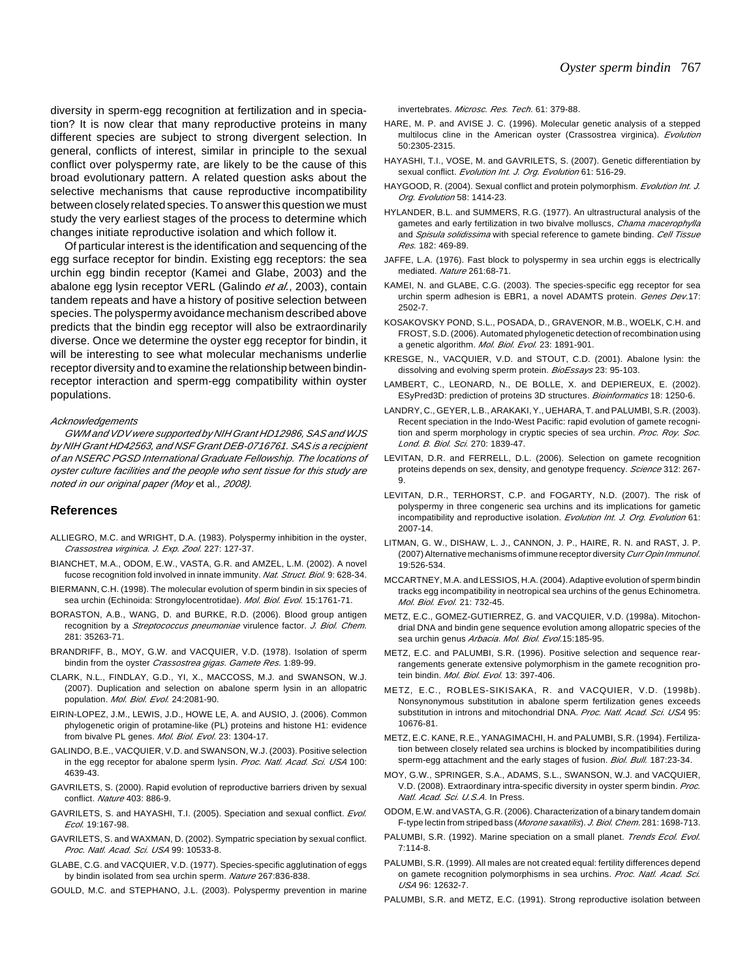diversity in sperm-egg recognition at fertilization and in speciation? It is now clear that many reproductive proteins in many different species are subject to strong divergent selection. In general, conflicts of interest, similar in principle to the sexual conflict over polyspermy rate, are likely to be the cause of this broad evolutionary pattern. A related question asks about the selective mechanisms that cause reproductive incompatibility between closely related species. To answer this question we must study the very earliest stages of the process to determine which changes initiate reproductive isolation and which follow it.

Of particular interest is the identification and sequencing of the egg surface receptor for bindin. Existing egg receptors: the sea urchin egg bindin receptor (Kamei and Glabe, 2003) and the abalone egg Ivsin receptor VERL (Galindo et al., 2003), contain tandem repeats and have a history of positive selection between species. The polyspermy avoidance mechanism described above predicts that the bindin egg receptor will also be extraordinarily diverse. Once we determine the oyster egg receptor for bindin, it will be interesting to see what molecular mechanisms underlie receptor diversity and to examine the relationship between bindinreceptor interaction and sperm-egg compatibility within oyster populations.

#### **Acknowledgements**

GWM and VDV were supported by NIH Grant HD12986, SAS and WJS by NIH Grant HD42563, and NSF Grant DEB-0716761. SAS is a recipient of an NSERC PGSD International Graduate Fellowship. The locations of oyster culture facilities and the people who sent tissue for this study are noted in our original paper (Moy et al., 2008).

#### **References**

- ALLIEGRO, M.C. and WRIGHT, D.A. (1983). Polyspermy inhibition in the oyster, Crassostrea virginica. J. Exp. Zool. 227: 127-37.
- BIANCHET, M.A., ODOM, E.W., VASTA, G.R. and AMZEL, L.M. (2002). A novel fucose recognition fold involved in innate immunity. Nat. Struct. Biol. 9: 628-34.
- BIERMANN, C.H. (1998). The molecular evolution of sperm bindin in six species of sea urchin (Echinoida: Strongylocentrotidae). Mol. Biol. Evol. 15:1761-71.
- BORASTON, A.B., WANG, D. and BURKE, R.D. (2006). Blood group antigen recognition by a Streptococcus pneumoniae virulence factor. J. Biol. Chem. 281: 35263-71.
- BRANDRIFF, B., MOY, G.W. and VACQUIER, V.D. (1978). Isolation of sperm bindin from the oyster Crassostrea gigas. Gamete Res. 1:89-99.
- CLARK, N.L., FINDLAY, G.D., YI, X., MACCOSS, M.J. and SWANSON, W.J. (2007). Duplication and selection on abalone sperm lysin in an allopatric population. Mol. Biol. Evol. 24:2081-90.
- EIRIN-LOPEZ, J.M., LEWIS, J.D., HOWE LE, A. and AUSIO, J. (2006). Common phylogenetic origin of protamine-like (PL) proteins and histone H1: evidence from bivalve PL genes. Mol. Biol. Evol. 23: 1304-17.
- GALINDO, B.E., VACQUIER, V.D. and SWANSON, W.J. (2003). Positive selection in the egg receptor for abalone sperm lysin. Proc. Natl. Acad. Sci. USA 100: 4639-43.
- GAVRILETS, S. (2000). Rapid evolution of reproductive barriers driven by sexual conflict. Nature 403: 886-9.
- GAVRILETS, S. and HAYASHI, T.I. (2005). Speciation and sexual conflict. Evol. Ecol. 19:167-98.
- GAVRILETS, S. and WAXMAN, D. (2002). Sympatric speciation by sexual conflict. Proc. Natl. Acad. Sci. USA 99: 10533-8.
- GLABE, C.G. and VACQUIER, V.D. (1977). Species-specific agglutination of eggs by bindin isolated from sea urchin sperm. Nature 267:836-838.
- GOULD, M.C. and STEPHANO, J.L. (2003). Polyspermy prevention in marine

invertebrates. Microsc. Res. Tech. 61: 379-88.

- HARE, M. P. and AVISE J. C. (1996). Molecular genetic analysis of a stepped multilocus cline in the American oyster (Crassostrea virginica). Evolution 50:2305-2315.
- HAYASHI, T.I., VOSE, M. and GAVRILETS, S. (2007). Genetic differentiation by sexual conflict. Evolution Int. J. Org. Evolution 61: 516-29.
- HAYGOOD, R. (2004). Sexual conflict and protein polymorphism. Evolution Int. J. Org. Evolution 58: 1414-23.
- HYLANDER, B.L. and SUMMERS, R.G. (1977). An ultrastructural analysis of the gametes and early fertilization in two bivalve molluscs, Chama macerophylla and Spisula solidissima with special reference to gamete binding. Cell Tissue Res. 182: 469-89.
- JAFFE, L.A. (1976). Fast block to polyspermy in sea urchin eggs is electrically mediated. Nature 261:68-71.
- KAMEI, N. and GLABE, C.G. (2003). The species-specific egg receptor for sea urchin sperm adhesion is EBR1, a novel ADAMTS protein. Genes Dev.17: 2502-7.
- KOSAKOVSKY POND, S.L., POSADA, D., GRAVENOR, M.B., WOELK, C.H. and FROST, S.D. (2006). Automated phylogenetic detection of recombination using a genetic algorithm. Mol. Biol. Evol. 23: 1891-901.
- KRESGE, N., VACQUIER, V.D. and STOUT, C.D. (2001). Abalone lysin: the dissolving and evolving sperm protein. BioEssays 23: 95-103.
- LAMBERT, C., LEONARD, N., DE BOLLE, X. and DEPIEREUX, E. (2002). ESyPred3D: prediction of proteins 3D structures. Bioinformatics 18: 1250-6.
- LANDRY, C., GEYER, L.B., ARAKAKI, Y., UEHARA, T. and PALUMBI, S.R. (2003). Recent speciation in the Indo-West Pacific: rapid evolution of gamete recognition and sperm morphology in cryptic species of sea urchin. Proc. Roy. Soc. Lond. B. Biol. Sci. 270: 1839-47.
- LEVITAN, D.R. and FERRELL, D.L. (2006). Selection on gamete recognition proteins depends on sex, density, and genotype frequency. Science 312: 267-9.
- LEVITAN, D.R., TERHORST, C.P. and FOGARTY, N.D. (2007). The risk of polyspermy in three congeneric sea urchins and its implications for gametic incompatibility and reproductive isolation. Evolution Int. J. Org. Evolution 61: 2007-14.
- LITMAN, G. W., DISHAW, L. J., CANNON, J. P., HAIRE, R. N. and RAST, J. P. (2007) Alternative mechanisms of immune receptor diversity Curr Opin Immunol. 19:526-534.
- MCCARTNEY, M.A. and LESSIOS, H.A. (2004). Adaptive evolution of sperm bindin tracks egg incompatibility in neotropical sea urchins of the genus Echinometra. Mol. Biol. Evol. 21: 732-45.
- METZ, E.C., GOMEZ-GUTIERREZ, G. and VACQUIER, V.D. (1998a). Mitochondrial DNA and bindin gene sequence evolution among allopatric species of the sea urchin genus Arbacia. Mol. Biol. Evol.15:185-95.
- METZ, E.C. and PALUMBI, S.R. (1996). Positive selection and sequence rearrangements generate extensive polymorphism in the gamete recognition protein bindin. *Mol. Biol. Evol.* 13: 397-406.
- METZ, E.C., ROBLES-SIKISAKA, R. and VACQUIER, V.D. (1998b). Nonsynonymous substitution in abalone sperm fertilization genes exceeds substitution in introns and mitochondrial DNA. Proc. Natl. Acad. Sci. USA 95: 10676-81.
- METZ, E.C. KANE, R.E., YANAGIMACHI, H. and PALUMBI, S.R. (1994). Fertilization between closely related sea urchins is blocked by incompatibilities during sperm-egg attachment and the early stages of fusion. Biol. Bull. 187:23-34.
- MOY, G.W., SPRINGER, S.A., ADAMS, S.L., SWANSON, W.J. and VACQUIER, V.D. (2008). Extraordinary intra-specific diversity in oyster sperm bindin. Proc. Natl. Acad. Sci. U.S.A. In Press.
- ODOM, E.W. and VASTA, G.R. (2006). Characterization of a binary tandem domain F-type lectin from striped bass (Morone saxatilis). J. Biol. Chem. 281: 1698-713.
- PALUMBI, S.R. (1992). Marine speciation on a small planet. Trends Ecol. Evol. 7:114-8.
- PALUMBI, S.R. (1999). All males are not created equal: fertility differences depend on gamete recognition polymorphisms in sea urchins. Proc. Natl. Acad. Sci. USA 96: 12632-7.
- PALUMBI, S.R. and METZ, E.C. (1991). Strong reproductive isolation between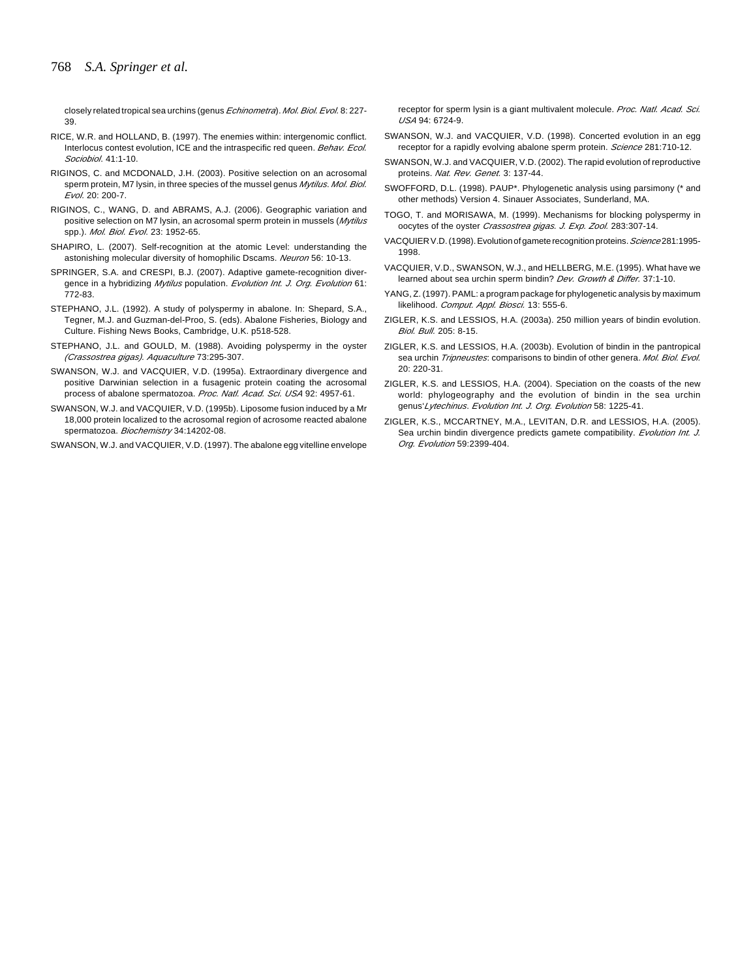closely related tropical sea urchins (genus *Echinometra*). Mol. Biol. Evol. 8: 227-39.

- RICE, W.R. and HOLLAND, B. (1997). The enemies within: intergenomic conflict. Interlocus contest evolution, ICE and the intraspecific red queen. Behav. Ecol. Sociobiol. 41:1-10.
- RIGINOS, C. and MCDONALD, J.H. (2003). Positive selection on an acrosomal sperm protein, M7 lysin, in three species of the mussel genus Mytilus. Mol. Biol. Evol. 20: 200-7.
- RIGINOS, C., WANG, D. and ABRAMS, A.J. (2006). Geographic variation and positive selection on M7 lysin, an acrosomal sperm protein in mussels (Mytilus spp.). *Mol. Biol. Evol.* 23: 1952-65.
- SHAPIRO, L. (2007). Self-recognition at the atomic Level: understanding the astonishing molecular diversity of homophilic Dscams. Neuron 56: 10-13.
- SPRINGER, S.A. and CRESPI, B.J. (2007). Adaptive gamete-recognition divergence in a hybridizing Mytilus population. Evolution Int. J. Org. Evolution 61: 772-83.
- STEPHANO, J.L. (1992). A study of polyspermy in abalone. In: Shepard, S.A., Tegner, M.J. and Guzman-del-Proo, S. (eds). Abalone Fisheries, Biology and Culture. Fishing News Books, Cambridge, U.K. p518-528.
- STEPHANO, J.L. and GOULD, M. (1988). Avoiding polyspermy in the oyster (Crassostrea gigas). Aquaculture 73:295-307.
- SWANSON, W.J. and VACQUIER, V.D. (1995a). Extraordinary divergence and positive Darwinian selection in a fusagenic protein coating the acrosomal process of abalone spermatozoa. Proc. Natl. Acad. Sci. USA 92: 4957-61.
- SWANSON, W.J. and VACQUIER, V.D. (1995b). Liposome fusion induced by a Mr 18,000 protein localized to the acrosomal region of acrosome reacted abalone spermatozoa. Biochemistry 34:14202-08.

SWANSON, W.J. and VACQUIER, V.D. (1997). The abalone egg vitelline envelope

receptor for sperm lysin is a giant multivalent molecule. Proc. Natl. Acad. Sci. USA 94: 6724-9.

- SWANSON, W.J. and VACQUIER, V.D. (1998). Concerted evolution in an egg receptor for a rapidly evolving abalone sperm protein. Science 281:710-12.
- SWANSON, W.J. and VACQUIER, V.D. (2002). The rapid evolution of reproductive proteins. Nat. Rev. Genet. 3: 137-44.
- SWOFFORD, D.L. (1998). PAUP\*. Phylogenetic analysis using parsimony (\* and other methods) Version 4. Sinauer Associates, Sunderland, MA.
- TOGO, T. and MORISAWA, M. (1999). Mechanisms for blocking polyspermy in oocytes of the oyster Crassostrea gigas. J. Exp. Zool. 283:307-14.
- VACQUIER V.D. (1998). Evolution of gamete recognition proteins. Science 281:1995-1998.
- VACQUIER, V.D., SWANSON, W.J., and HELLBERG, M.E. (1995). What have we learned about sea urchin sperm bindin? Dev. Growth & Differ. 37:1-10.
- YANG, Z. (1997). PAML: a program package for phylogenetic analysis by maximum likelihood. Comput. Appl. Biosci. 13: 555-6.
- ZIGLER, K.S. and LESSIOS, H.A. (2003a). 250 million years of bindin evolution. Biol. Bull. 205: 8-15.
- ZIGLER, K.S. and LESSIOS, H.A. (2003b). Evolution of bindin in the pantropical sea urchin Tripneustes: comparisons to bindin of other genera. Mol. Biol. Evol. 20: 220-31.
- ZIGLER, K.S. and LESSIOS, H.A. (2004). Speciation on the coasts of the new world: phylogeography and the evolution of bindin in the sea urchin genus'Lytechinus. Evolution Int. J. Org. Evolution 58: 1225-41.
- ZIGLER, K.S., MCCARTNEY, M.A., LEVITAN, D.R. and LESSIOS, H.A. (2005). Sea urchin bindin divergence predicts gamete compatibility. Evolution Int. J. Org. Evolution 59:2399-404.